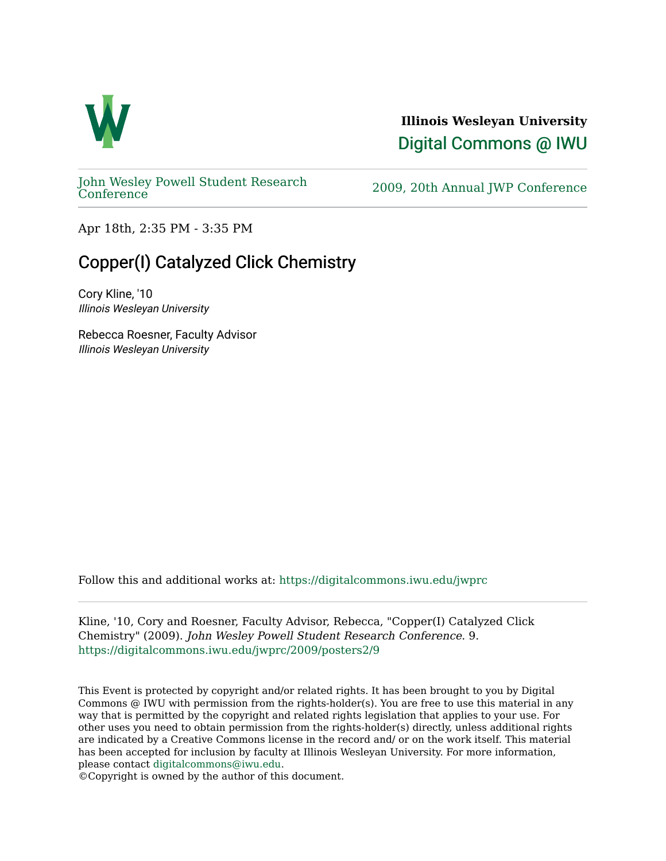

## **Illinois Wesleyan University**  [Digital Commons @ IWU](https://digitalcommons.iwu.edu/)

[John Wesley Powell Student Research](https://digitalcommons.iwu.edu/jwprc) 

2009, 20th Annual JWP [Conference](https://digitalcommons.iwu.edu/jwprc)

Apr 18th, 2:35 PM - 3:35 PM

## Copper(I) Catalyzed Click Chemistry

Cory Kline, '10 Illinois Wesleyan University

Rebecca Roesner, Faculty Advisor Illinois Wesleyan University

Follow this and additional works at: [https://digitalcommons.iwu.edu/jwprc](https://digitalcommons.iwu.edu/jwprc?utm_source=digitalcommons.iwu.edu%2Fjwprc%2F2009%2Fposters2%2F9&utm_medium=PDF&utm_campaign=PDFCoverPages) 

Kline, '10, Cory and Roesner, Faculty Advisor, Rebecca, "Copper(I) Catalyzed Click Chemistry" (2009). John Wesley Powell Student Research Conference. 9. [https://digitalcommons.iwu.edu/jwprc/2009/posters2/9](https://digitalcommons.iwu.edu/jwprc/2009/posters2/9?utm_source=digitalcommons.iwu.edu%2Fjwprc%2F2009%2Fposters2%2F9&utm_medium=PDF&utm_campaign=PDFCoverPages)

This Event is protected by copyright and/or related rights. It has been brought to you by Digital Commons @ IWU with permission from the rights-holder(s). You are free to use this material in any way that is permitted by the copyright and related rights legislation that applies to your use. For other uses you need to obtain permission from the rights-holder(s) directly, unless additional rights are indicated by a Creative Commons license in the record and/ or on the work itself. This material has been accepted for inclusion by faculty at Illinois Wesleyan University. For more information, please contact [digitalcommons@iwu.edu.](mailto:digitalcommons@iwu.edu)

©Copyright is owned by the author of this document.